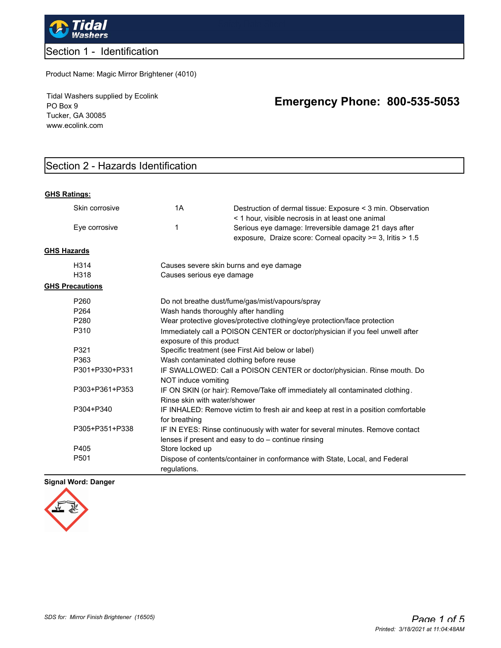

## Section 1 - Identification

Product Name: Magic Mirror Brightener (4010)

Tidal Washers supplied by Ecolink PO Box 9 Tucker, GA 30085 www.ecolink.com

# **Emergency Phone: 800-535-5053**

## Section 2 - Hazards Identification

#### **GHS Ratings:**

|                    | Skin corrosive         | 1A                                                                                                        | Destruction of dermal tissue: Exposure < 3 min. Observation                                                                                                              |  |
|--------------------|------------------------|-----------------------------------------------------------------------------------------------------------|--------------------------------------------------------------------------------------------------------------------------------------------------------------------------|--|
|                    | Eye corrosive          | 1                                                                                                         | < 1 hour, visible necrosis in at least one animal<br>Serious eye damage: Irreversible damage 21 days after<br>exposure, Draize score: Corneal opacity >= 3, Iritis > 1.5 |  |
| <b>GHS Hazards</b> |                        |                                                                                                           |                                                                                                                                                                          |  |
|                    | H314                   | Causes severe skin burns and eye damage                                                                   |                                                                                                                                                                          |  |
|                    | H318                   | Causes serious eye damage                                                                                 |                                                                                                                                                                          |  |
|                    | <b>GHS Precautions</b> |                                                                                                           |                                                                                                                                                                          |  |
|                    | P <sub>260</sub>       | Do not breathe dust/fume/gas/mist/vapours/spray                                                           |                                                                                                                                                                          |  |
|                    | P <sub>264</sub>       | Wash hands thoroughly after handling                                                                      |                                                                                                                                                                          |  |
|                    | P <sub>280</sub>       | Wear protective gloves/protective clothing/eye protection/face protection                                 |                                                                                                                                                                          |  |
|                    | P310                   | Immediately call a POISON CENTER or doctor/physician if you feel unwell after<br>exposure of this product |                                                                                                                                                                          |  |
|                    | P321                   | Specific treatment (see First Aid below or label)<br>Wash contaminated clothing before reuse              |                                                                                                                                                                          |  |
|                    | P363                   |                                                                                                           |                                                                                                                                                                          |  |
|                    | P301+P330+P331         | IF SWALLOWED: Call a POISON CENTER or doctor/physician. Rinse mouth. Do<br>NOT induce vomiting            |                                                                                                                                                                          |  |
|                    | P303+P361+P353         | Rinse skin with water/shower                                                                              | IF ON SKIN (or hair): Remove/Take off immediately all contaminated clothing.                                                                                             |  |
|                    | P304+P340              | for breathing                                                                                             | IF INHALED: Remove victim to fresh air and keep at rest in a position comfortable                                                                                        |  |
|                    | P305+P351+P338         |                                                                                                           | IF IN EYES: Rinse continuously with water for several minutes. Remove contact<br>lenses if present and easy to do - continue rinsing                                     |  |
|                    | P405                   | Store locked up                                                                                           |                                                                                                                                                                          |  |
|                    | P501                   | regulations.                                                                                              | Dispose of contents/container in conformance with State, Local, and Federal                                                                                              |  |

#### **Signal Word: Danger**

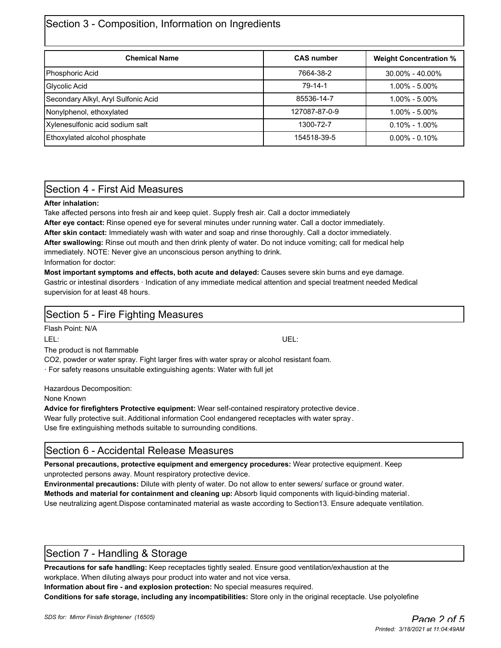## Section 3 - Composition, Information on Ingredients

| <b>Chemical Name</b>                | <b>CAS number</b> | <b>Weight Concentration %</b> |
|-------------------------------------|-------------------|-------------------------------|
| Phosphoric Acid                     | 7664-38-2         | $30.00\% - 40.00\%$           |
| Glycolic Acid                       | 79-14-1           | $1.00\% - 5.00\%$             |
| Secondary Alkyl, Aryl Sulfonic Acid | 85536-14-7        | $1.00\% - 5.00\%$             |
| Nonylphenol, ethoxylated            | 127087-87-0-9     | $1.00\% - 5.00\%$             |
| Xylenesulfonic acid sodium salt     | 1300-72-7         | $0.10\% - 1.00\%$             |
| Ethoxylated alcohol phosphate       | 154518-39-5       | $0.00\% - 0.10\%$             |

## Section 4 - First Aid Measures

#### **After inhalation:**

Take affected persons into fresh air and keep quiet. Supply fresh air. Call a doctor immediately

**After eye contact:** Rinse opened eye for several minutes under running water. Call a doctor immediately.

**After skin contact:** Immediately wash with water and soap and rinse thoroughly. Call a doctor immediately.

**After swallowing:** Rinse out mouth and then drink plenty of water. Do not induce vomiting; call for medical help

immediately. NOTE: Never give an unconscious person anything to drink.

Information for doctor:

**Most important symptoms and effects, both acute and delayed:** Causes severe skin burns and eye damage. Gastric or intestinal disorders · Indication of any immediate medical attention and special treatment needed Medical supervision for at least 48 hours.

| Section 5 - Fire Fighting Measures                                                         |      |  |  |  |
|--------------------------------------------------------------------------------------------|------|--|--|--|
| Flash Point: N/A                                                                           |      |  |  |  |
| LEL:                                                                                       | UEL: |  |  |  |
| The product is not flammable                                                               |      |  |  |  |
| CO2, powder or water spray. Fight larger fires with water spray or alcohol resistant foam. |      |  |  |  |

· For safety reasons unsuitable extinguishing agents: Water with full jet

Hazardous Decomposition:

None Known

**Advice for firefighters Protective equipment:** Wear self-contained respiratory protective device.

Wear fully protective suit. Additional information Cool endangered receptacles with water spray .

Use fire extinguishing methods suitable to surrounding conditions.

## Section 6 - Accidental Release Measures

**Personal precautions, protective equipment and emergency procedures:** Wear protective equipment. Keep unprotected persons away. Mount respiratory protective device.

**Environmental precautions:** Dilute with plenty of water. Do not allow to enter sewers/ surface or ground water. **Methods and material for containment and cleaning up:** Absorb liquid components with liquid-binding material. Use neutralizing agent.Dispose contaminated material as waste according to Section13. Ensure adequate ventilation.

## Section 7 - Handling & Storage

**Precautions for safe handling:** Keep receptacles tightly sealed. Ensure good ventilation/exhaustion at the workplace. When diluting always pour product into water and not vice versa.

**Information about fire - and explosion protection:** No special measures required.

**Conditions for safe storage, including any incompatibilities:** Store only in the original receptacle. Use polyolefine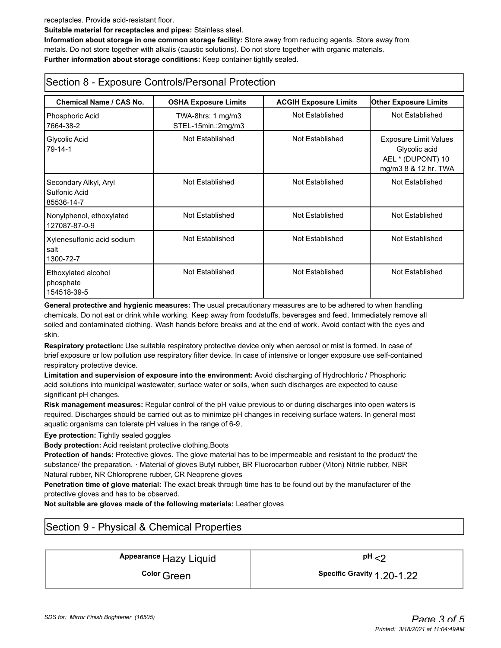receptacles. Provide acid-resistant floor.

**Suitable material for receptacles and pipes:** Stainless steel.

**Information about storage in one common storage facility:** Store away from reducing agents. Store away from metals. Do not store together with alkalis (caustic solutions). Do not store together with organic materials. **Further information about storage conditions:** Keep container tightly sealed.

## Section 8 - Exposure Controls/Personal Protection

| <b>Chemical Name / CAS No.</b>                       |                                                                          |                                                 |                                                                                            |
|------------------------------------------------------|--------------------------------------------------------------------------|-------------------------------------------------|--------------------------------------------------------------------------------------------|
| Phosphoric Acid<br>7664-38-2                         | <b>OSHA Exposure Limits</b><br>$TWA-8hrs: 1 mg/m3$<br>STEL-15min.:2mg/m3 | <b>ACGIH Exposure Limits</b><br>Not Established | <b>Other Exposure Limits</b><br>Not Established                                            |
| Glycolic Acid<br>$79-14-1$                           | Not Established                                                          | Not Established                                 | <b>Exposure Limit Values</b><br>Glycolic acid<br>AEL * (DUPONT) 10<br>mg/m3 8 & 12 hr. TWA |
| Secondary Alkyl, Aryl<br>Sulfonic Acid<br>85536-14-7 | Not Established                                                          | Not Established                                 | Not Established                                                                            |
| Nonylphenol, ethoxylated<br>127087-87-0-9            | Not Established                                                          | Not Established                                 | Not Established                                                                            |
| Xylenesulfonic acid sodium<br>salt<br>1300-72-7      | Not Established                                                          | Not Established                                 | Not Established                                                                            |
| Ethoxylated alcohol<br>phosphate<br>154518-39-5      | Not Established                                                          | Not Established                                 | Not Established                                                                            |

**General protective and hygienic measures:** The usual precautionary measures are to be adhered to when handling chemicals. Do not eat or drink while working. Keep away from foodstuffs, beverages and feed. Immediately remove all soiled and contaminated clothing. Wash hands before breaks and at the end of work. Avoid contact with the eyes and skin.

**Respiratory protection:** Use suitable respiratory protective device only when aerosol or mist is formed. In case of brief exposure or low pollution use respiratory filter device. In case of intensive or longer exposure use self-contained respiratory protective device.

**Limitation and supervision of exposure into the environment:** Avoid discharging of Hydrochloric / Phosphoric acid solutions into municipal wastewater, surface water or soils, when such discharges are expected to cause significant pH changes.

**Risk management measures:** Regular control of the pH value previous to or during discharges into open waters is required. Discharges should be carried out as to minimize pH changes in receiving surface waters. In general most aquatic organisms can tolerate pH values in the range of 6-9.

#### **Eye protection:** Tightly sealed goggles

**Body protection:** Acid resistant protective clothing,Boots

**Protection of hands:** Protective gloves. The glove material has to be impermeable and resistant to the product/ the substance/ the preparation. · Material of gloves Butyl rubber, BR Fluorocarbon rubber (Viton) Nitrile rubber, NBR Natural rubber, NR Chloroprene rubber, CR Neoprene gloves

**Penetration time of glove material:** The exact break through time has to be found out by the manufacturer of the protective gloves and has to be observed.

**Not suitable are gloves made of the following materials:** Leather gloves

## Section 9 - Physical & Chemical Properties

# Appearance Hazy Liquid **Appearance** Hazy Liquid **Appearance**  $\mathsf{P}^{\mathsf{H}}$  <2

**Color** Green **Color Creen Color Creen Color Creen Color Creen Color Creen Creen Creen C**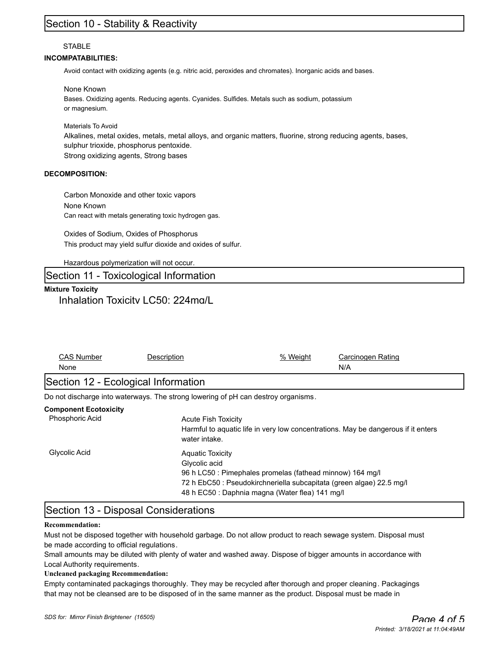## Section 10 - Stability & Reactivity

#### **STABLE**

#### **INCOMPATABILITIES:**

Avoid contact with oxidizing agents (e.g. nitric acid, peroxides and chromates). Inorganic acids and bases.

None Known

Bases. Oxidizing agents. Reducing agents. Cyanides. Sulfides. Metals such as sodium, potassium or magnesium.

Materials To Avoid Alkalines, metal oxides, metals, metal alloys, and organic matters, fluorine, strong reducing agents, bases, sulphur trioxide, phosphorus pentoxide. Strong oxidizing agents, Strong bases

#### **DECOMPOSITION:**

Carbon Monoxide and other toxic vapors None Known Can react with metals generating toxic hydrogen gas.

Oxides of Sodium, Oxides of Phosphorus This product may yield sulfur dioxide and oxides of sulfur.

Hazardous polymerization will not occur.

### Section 11 - Toxicological Information

### **Mixture Toxicity** Inhalation Toxicity LC50: 224mg/L

| <b>CAS Number</b><br>None                       | Description                                                                       | % Weight                                                                                                                                                                             | Carcinogen Rating<br>N/A                                                          |  |
|-------------------------------------------------|-----------------------------------------------------------------------------------|--------------------------------------------------------------------------------------------------------------------------------------------------------------------------------------|-----------------------------------------------------------------------------------|--|
| Section 12 - Ecological Information             |                                                                                   |                                                                                                                                                                                      |                                                                                   |  |
|                                                 | Do not discharge into waterways. The strong lowering of pH can destroy organisms. |                                                                                                                                                                                      |                                                                                   |  |
| <b>Component Ecotoxicity</b><br>Phosphoric Acid | <b>Acute Fish Toxicity</b><br>water intake.                                       |                                                                                                                                                                                      | Harmful to aguatic life in very low concentrations. May be dangerous if it enters |  |
| Glycolic Acid                                   | <b>Aquatic Toxicity</b><br>Glycolic acid                                          | 96 h LC50 : Pimephales promelas (fathead minnow) 164 mg/l<br>72 h EbC50 : Pseudokirchneriella subcapitata (green algae) 22.5 mg/l<br>48 h EC50 : Daphnia magna (Water flea) 141 mg/l |                                                                                   |  |

### Section 13 - Disposal Considerations

#### **Recommendation:**

Must not be disposed together with household garbage. Do not allow product to reach sewage system. Disposal must be made according to official regulations.

Small amounts may be diluted with plenty of water and washed away. Dispose of bigger amounts in accordance with Local Authority requirements.

#### **Uncleaned packaging Recommendation:**

Empty contaminated packagings thoroughly. They may be recycled after thorough and proper cleaning. Packagings that may not be cleansed are to be disposed of in the same manner as the product. Disposal must be made in